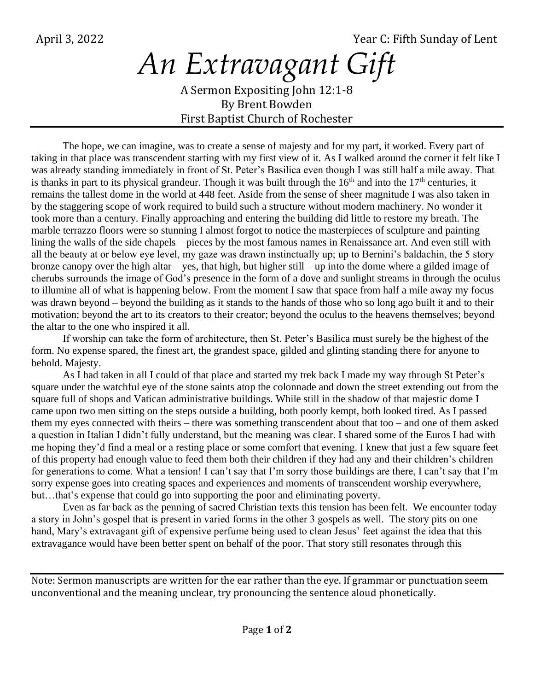April 3, 2022 **The Sunday of Lent** Sunday of Lent

## *An Extravagant Gift* A Sermon Expositing John 12:1-8 By Brent Bowden

First Baptist Church of Rochester

The hope, we can imagine, was to create a sense of majesty and for my part, it worked. Every part of taking in that place was transcendent starting with my first view of it. As I walked around the corner it felt like I was already standing immediately in front of St. Peter's Basilica even though I was still half a mile away. That is thanks in part to its physical grandeur. Though it was built through the  $16<sup>th</sup>$  and into the  $17<sup>th</sup>$  centuries, it remains the tallest dome in the world at 448 feet. Aside from the sense of sheer magnitude I was also taken in by the staggering scope of work required to build such a structure without modern machinery. No wonder it took more than a century. Finally approaching and entering the building did little to restore my breath. The marble terrazzo floors were so stunning I almost forgot to notice the masterpieces of sculpture and painting lining the walls of the side chapels – pieces by the most famous names in Renaissance art. And even still with all the beauty at or below eye level, my gaze was drawn instinctually up; up to Bernini's baldachin, the 5 story bronze canopy over the high altar – yes, that high, but higher still – up into the dome where a gilded image of cherubs surrounds the image of God's presence in the form of a dove and sunlight streams in through the oculus to illumine all of what is happening below. From the moment I saw that space from half a mile away my focus was drawn beyond – beyond the building as it stands to the hands of those who so long ago built it and to their motivation; beyond the art to its creators to their creator; beyond the oculus to the heavens themselves; beyond the altar to the one who inspired it all.

If worship can take the form of architecture, then St. Peter's Basilica must surely be the highest of the form. No expense spared, the finest art, the grandest space, gilded and glinting standing there for anyone to behold. Majesty.

As I had taken in all I could of that place and started my trek back I made my way through St Peter's square under the watchful eye of the stone saints atop the colonnade and down the street extending out from the square full of shops and Vatican administrative buildings. While still in the shadow of that majestic dome I came upon two men sitting on the steps outside a building, both poorly kempt, both looked tired. As I passed them my eyes connected with theirs – there was something transcendent about that too – and one of them asked a question in Italian I didn't fully understand, but the meaning was clear. I shared some of the Euros I had with me hoping they'd find a meal or a resting place or some comfort that evening. I knew that just a few square feet of this property had enough value to feed them both their children if they had any and their children's children for generations to come. What a tension! I can't say that I'm sorry those buildings are there, I can't say that I'm sorry expense goes into creating spaces and experiences and moments of transcendent worship everywhere, but…that's expense that could go into supporting the poor and eliminating poverty.

Even as far back as the penning of sacred Christian texts this tension has been felt. We encounter today a story in John's gospel that is present in varied forms in the other 3 gospels as well. The story pits on one hand, Mary's extravagant gift of expensive perfume being used to clean Jesus' feet against the idea that this extravagance would have been better spent on behalf of the poor. That story still resonates through this

Note: Sermon manuscripts are written for the ear rather than the eye. If grammar or punctuation seem unconventional and the meaning unclear, try pronouncing the sentence aloud phonetically.